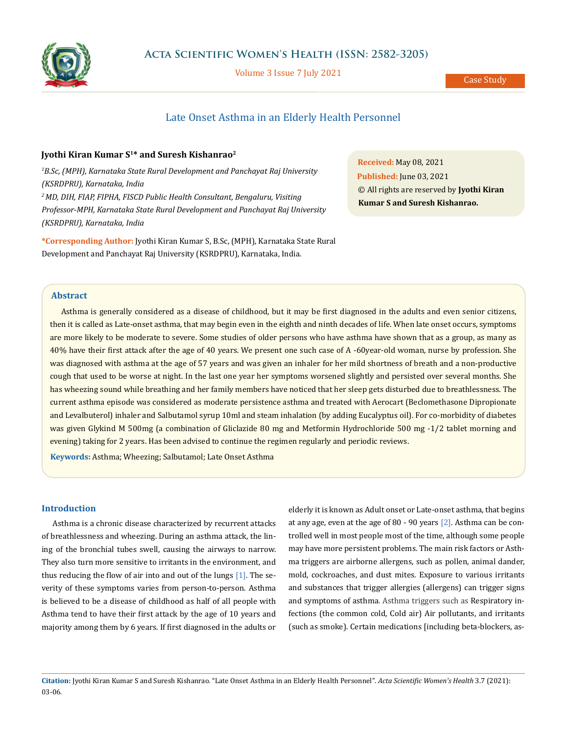

Volume 3 Issue 7 July 2021

Case Study

# Late Onset Asthma in an Elderly Health Personnel

## **Jyothi Kiran Kumar S1\* and Suresh Kishanrao2**

<sup>1</sup>B.Sc, (MPH), Karnataka State Rural Development and Panchayat Raj University *(KSRDPRU), Karnataka, India 2 MD, DIH, FIAP, FIPHA, FISCD Public Health Consultant, Bengaluru, Visiting Professor-MPH, Karnataka State Rural Development and Panchayat Raj University (KSRDPRU), Karnataka, India*

**\*Corresponding Author:** Jyothi Kiran Kumar S, B.Sc, (MPH), Karnataka State Rural Development and Panchayat Raj University (KSRDPRU), Karnataka, India.

**Received:** May 08, 2021 **Published:** June 03, 2021 © All rights are reserved by **Jyothi Kiran Kumar S and Suresh Kishanrao.**

## **Abstract**

Asthma is generally considered as a disease of childhood, but it may be first diagnosed in the adults and even senior citizens, then it is called as Late-onset asthma, that may begin even in the eighth and ninth decades of life. When late onset occurs, symptoms are more likely to be moderate to severe. Some studies of older persons who have asthma have shown that as a group, as many as 40% have their first attack after the age of 40 years. We present one such case of A -60year-old woman, nurse by profession. She was diagnosed with asthma at the age of 57 years and was given an inhaler for her mild shortness of breath and a non-productive cough that used to be worse at night. In the last one year her symptoms worsened slightly and persisted over several months. She has wheezing sound while breathing and her family members have noticed that her sleep gets disturbed due to breathlessness. The current asthma episode was considered as moderate persistence asthma and treated with Aerocart (Beclomethasone Dipropionate and Levalbuterol) inhaler and Salbutamol syrup 10ml and steam inhalation (by adding Eucalyptus oil). For co-morbidity of diabetes was given Glykind M 500mg (a combination of Gliclazide 80 mg and Metformin Hydrochloride 500 mg -1/2 tablet morning and evening) taking for 2 years. Has been advised to continue the regimen regularly and periodic reviews.

**Keywords:** Asthma; Wheezing; Salbutamol; Late Onset Asthma

### **Introduction**

Asthma is a chronic disease characterized by recurrent attacks of breathlessness and wheezing. During an asthma attack, the lining of the bronchial tubes swell, causing the airways to narrow. They also turn more sensitive to irritants in the environment, and thus reducing the flow of air into and out of the lungs [1]. The severity of these symptoms varies from person-to-person. Asthma is believed to be a disease of childhood as half of all people with Asthma tend to have their first attack by the age of 10 years and majority among them by 6 years. If first diagnosed in the adults or elderly it is known as Adult onset or Late-onset asthma, that begins at any age, even at the age of 80 - 90 years [2]. Asthma can be controlled well in most people most of the time, although some people may have more persistent problems. The main risk factors or Asthma triggers are airborne allergens, such as pollen, animal dander, mold, cockroaches, and dust mites. Exposure to various irritants and substances that trigger allergies (allergens) can trigger signs and symptoms of asthma. Asthma triggers such as Respiratory infections (the common cold, Cold air) Air pollutants, and irritants (such as smoke). Certain medications [including beta-blockers, as-

**Citation:** Jyothi Kiran Kumar S and Suresh Kishanrao*.* "Late Onset Asthma in an Elderly Health Personnel". *Acta Scientific Women's Health* 3.7 (2021): 03-06.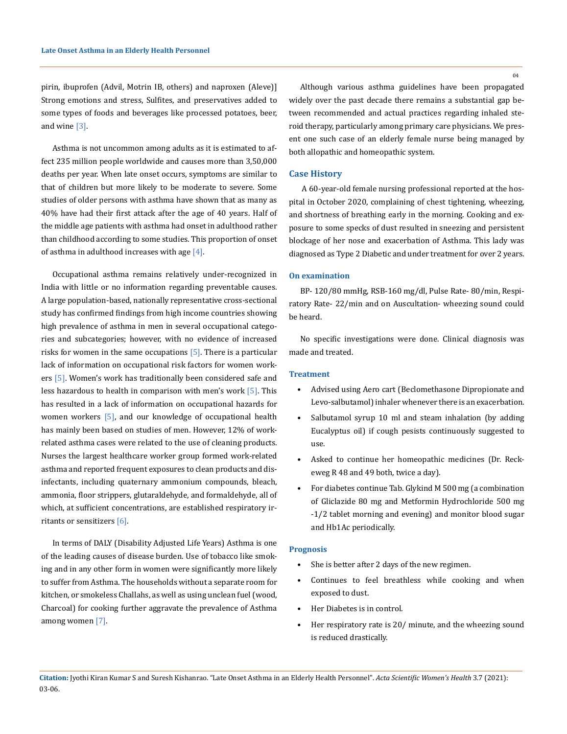pirin, ibuprofen (Advil, Motrin IB, others) and naproxen (Aleve)] Strong emotions and stress, Sulfites, and preservatives added to some types of foods and beverages like processed potatoes, beer, and wine [3].

Asthma is not uncommon among adults as it is estimated to affect 235 million people worldwide and causes more than 3,50,000 deaths per year. When late onset occurs, symptoms are similar to that of children but more likely to be moderate to severe. Some studies of older persons with asthma have shown that as many as 40% have had their first attack after the age of 40 years. Half of the middle age patients with asthma had onset in adulthood rather than childhood according to some studies. This proportion of onset of asthma in adulthood increases with age  $[4]$ .

Occupational asthma remains relatively under-recognized in India with little or no information regarding preventable causes. A large population-based, nationally representative cross-sectional study has confirmed findings from high income countries showing high prevalence of asthma in men in several occupational categories and subcategories; however, with no evidence of increased risks for women in the same occupations  $[5]$ . There is a particular lack of information on occupational risk factors for women workers [5]. Women's work has traditionally been considered safe and less hazardous to health in comparison with men's work  $[5]$ . This has resulted in a lack of information on occupational hazards for women workers [5], and our knowledge of occupational health has mainly been based on studies of men. However, 12% of workrelated asthma cases were related to the use of cleaning products. Nurses the largest healthcare worker group formed work-related asthma and reported frequent exposures to clean products and disinfectants, including quaternary ammonium compounds, bleach, ammonia, floor strippers, glutaraldehyde, and formaldehyde, all of which, at sufficient concentrations, are established respiratory irritants or sensitizers [6].

In terms of DALY (Disability Adjusted Life Years) Asthma is one of the leading causes of disease burden. Use of tobacco like smoking and in any other form in women were significantly more likely to suffer from Asthma. The households without a separate room for kitchen, or smokeless Challahs, as well as using unclean fuel (wood, Charcoal) for cooking further aggravate the prevalence of Asthma among women [7].

Although various asthma guidelines have been propagated widely over the past decade there remains a substantial gap between recommended and actual practices regarding inhaled steroid therapy, particularly among primary care physicians. We present one such case of an elderly female nurse being managed by both allopathic and homeopathic system.

## **Case History**

A 60-year-old female nursing professional reported at the hospital in October 2020, complaining of chest tightening, wheezing, and shortness of breathing early in the morning. Cooking and exposure to some specks of dust resulted in sneezing and persistent blockage of her nose and exacerbation of Asthma. This lady was diagnosed as Type 2 Diabetic and under treatment for over 2 years.

#### **On examination**

BP- 120/80 mmHg, RSB-160 mg/dl, Pulse Rate- 80/min, Respiratory Rate- 22/min and on Auscultation- wheezing sound could be heard.

No specific investigations were done. Clinical diagnosis was made and treated.

## **Treatment**

- Advised using Aero cart (Beclomethasone Dipropionate and Levo-salbutamol) inhaler whenever there is an exacerbation.
- Salbutamol syrup 10 ml and steam inhalation (by adding Eucalyptus oil) if cough pesists continuously suggested to use.
- Asked to continue her homeopathic medicines (Dr. Reckeweg R 48 and 49 both, twice a day).
- For diabetes continue Tab. Glykind M 500 mg (a combination of Gliclazide 80 mg and Metformin Hydrochloride 500 mg -1/2 tablet morning and evening) and monitor blood sugar and Hb1Ac periodically.

#### **Prognosis**

- She is better after 2 days of the new regimen.
- Continues to feel breathless while cooking and when exposed to dust.
- Her Diabetes is in control.
- Her respiratory rate is 20/ minute, and the wheezing sound is reduced drastically.

**Citation:** Jyothi Kiran Kumar S and Suresh Kishanrao*.* "Late Onset Asthma in an Elderly Health Personnel". *Acta Scientific Women's Health* 3.7 (2021): 03-06.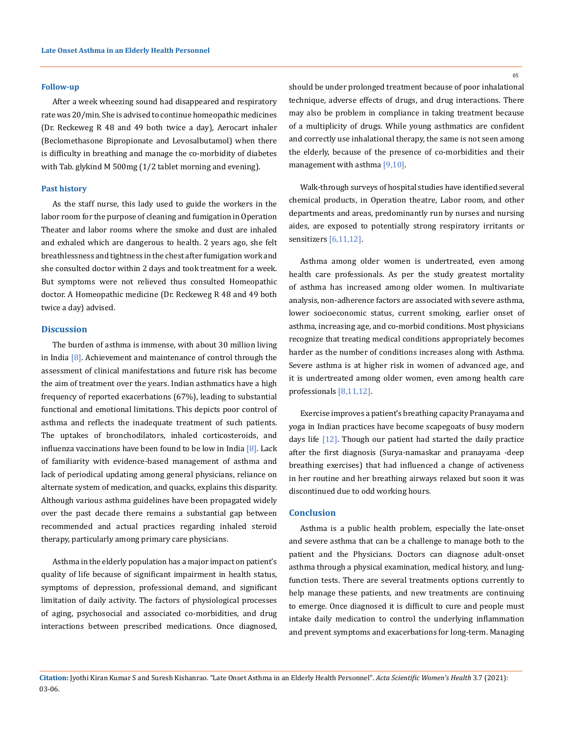#### **Follow-up**

After a week wheezing sound had disappeared and respiratory rate was 20/min. She is advised to continue homeopathic medicines (Dr. Reckeweg R 48 and 49 both twice a day), Aerocart inhaler (Beclomethasone Bipropionate and Levosalbutamol) when there is difficulty in breathing and manage the co-morbidity of diabetes with Tab. glykind M 500mg (1/2 tablet morning and evening).

## **Past history**

As the staff nurse, this lady used to guide the workers in the labor room for the purpose of cleaning and fumigation in Operation Theater and labor rooms where the smoke and dust are inhaled and exhaled which are dangerous to health. 2 years ago, she felt breathlessness and tightness in the chest after fumigation work and she consulted doctor within 2 days and took treatment for a week. But symptoms were not relieved thus consulted Homeopathic doctor. A Homeopathic medicine (Dr. Reckeweg R 48 and 49 both twice a day) advised.

## **Discussion**

The burden of asthma is immense, with about 30 million living in India  $[8]$ . Achievement and maintenance of control through the assessment of clinical manifestations and future risk has become the aim of treatment over the years. Indian asthmatics have a high frequency of reported exacerbations (67%), leading to substantial functional and emotional limitations. This depicts poor control of asthma and reflects the inadequate treatment of such patients. The uptakes of bronchodilators, inhaled corticosteroids, and influenza vaccinations have been found to be low in India [8]. Lack of familiarity with evidence-based management of asthma and lack of periodical updating among general physicians, reliance on alternate system of medication, and quacks, explains this disparity. Although various asthma guidelines have been propagated widely over the past decade there remains a substantial gap between recommended and actual practices regarding inhaled steroid therapy, particularly among primary care physicians.

Asthma in the elderly population has a major impact on patient's quality of life because of significant impairment in health status, symptoms of depression, professional demand, and significant limitation of daily activity. The factors of physiological processes of aging, psychosocial and associated co-morbidities, and drug interactions between prescribed medications. Once diagnosed, 05

should be under prolonged treatment because of poor inhalational technique, adverse effects of drugs, and drug interactions. There may also be problem in compliance in taking treatment because of a multiplicity of drugs. While young asthmatics are confident and correctly use inhalational therapy, the same is not seen among the elderly, because of the presence of co-morbidities and their management with asthma [9,10].

Walk-through surveys of hospital studies have identified several chemical products, in Operation theatre, Labor room, and other departments and areas, predominantly run by nurses and nursing aides, are exposed to potentially strong respiratory irritants or sensitizers [6,11,12].

Asthma among older women is undertreated, even among health care professionals. As per the study greatest mortality of asthma has increased among older women. In multivariate analysis, non-adherence factors are associated with severe asthma, lower socioeconomic status, current smoking, earlier onset of asthma, increasing age, and co-morbid conditions. Most physicians recognize that treating medical conditions appropriately becomes harder as the number of conditions increases along with Asthma. Severe asthma is at higher risk in women of advanced age, and it is undertreated among older women, even among health care professionals [8,11,12].

Exercise improves a patient's breathing capacity Pranayama and yoga in Indian practices have become scapegoats of busy modern days life [12]. Though our patient had started the daily practice after the first diagnosis (Surya-namaskar and pranayama -deep breathing exercises) that had influenced a change of activeness in her routine and her breathing airways relaxed but soon it was discontinued due to odd working hours.

## **Conclusion**

Asthma is a public health problem, especially the late-onset and severe asthma that can be a challenge to manage both to the patient and the Physicians. Doctors can diagnose adult-onset asthma through a physical examination, medical history, and lungfunction tests. There are several treatments options currently to help manage these patients, and new treatments are continuing to emerge. Once diagnosed it is difficult to cure and people must intake daily medication to control the underlying inflammation and prevent symptoms and exacerbations for long-term. Managing

**Citation:** Jyothi Kiran Kumar S and Suresh Kishanrao*.* "Late Onset Asthma in an Elderly Health Personnel". *Acta Scientific Women's Health* 3.7 (2021): 03-06.